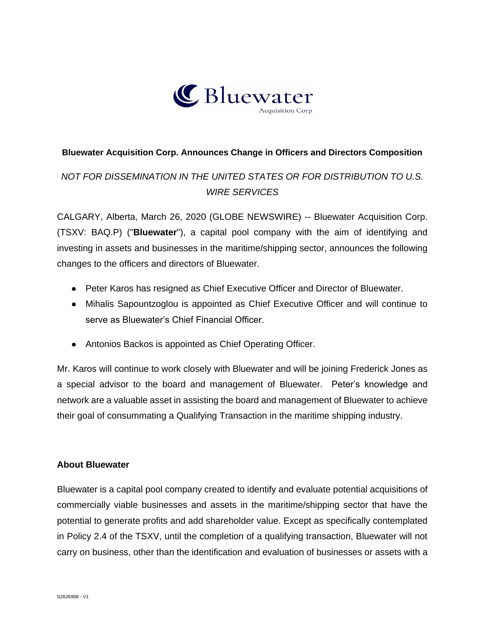

### **Bluewater Acquisition Corp. Announces Change in Officers and Directors Composition**

## *NOT FOR DISSEMINATION IN THE UNITED STATES OR FOR DISTRIBUTION TO U.S. WIRE SERVICES*

CALGARY, Alberta, March 26, 2020 (GLOBE NEWSWIRE) -- Bluewater Acquisition Corp. (TSXV: BAQ.P) ("**Bluewater**"), a capital pool company with the aim of identifying and investing in assets and businesses in the maritime/shipping sector, announces the following changes to the officers and directors of Bluewater.

- Peter Karos has resigned as Chief Executive Officer and Director of Bluewater.
- Mihalis Sapountzoglou is appointed as Chief Executive Officer and will continue to serve as Bluewater's Chief Financial Officer.
- Antonios Backos is appointed as Chief Operating Officer.

Mr. Karos will continue to work closely with Bluewater and will be joining Frederick Jones as a special advisor to the board and management of Bluewater. Peter's knowledge and network are a valuable asset in assisting the board and management of Bluewater to achieve their goal of consummating a Qualifying Transaction in the maritime shipping industry.

#### **About Bluewater**

Bluewater is a capital pool company created to identify and evaluate potential acquisitions of commercially viable businesses and assets in the maritime/shipping sector that have the potential to generate profits and add shareholder value. Except as specifically contemplated in Policy 2.4 of the TSXV, until the completion of a qualifying transaction, Bluewater will not carry on business, other than the identification and evaluation of businesses or assets with a